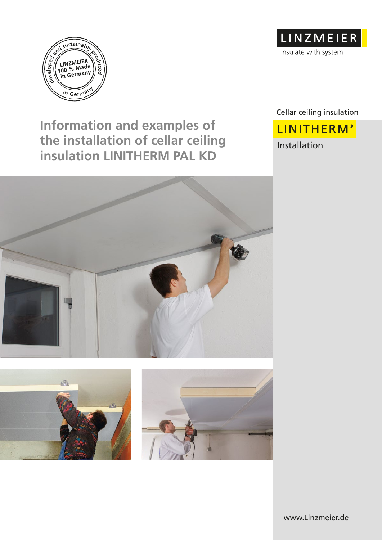

**Information and examples of the installation of cellar ceiling insulation LINITHERM PAL KD**





Cellar ceiling insulation

**LINITHERM®** Installation





www.Linzmeier.de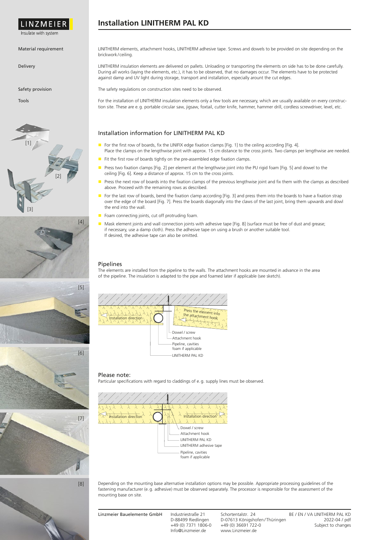

Insulate with system

## Material requirement

Delivery

Safety provision

Tools











[8]

LINITHERM elements, attachment hooks, LINITHERM adhesive tape. Screws and dowels to be provided on site depending on the brickwork/ ceiling.

LINITHERM insulation elements are delivered on pallets. Unloading or transporting the elements on side has to be done carefully. During all works (laying the elements, etc.), it has to be observed, that no damages occur. The elements have to be protected against damp and UV light during storage, transport and installation, especially arount the cut edges.

The safety regulations on construction sites need to be observed.

For the installation of LINITHERM insulation elements only a few tools are necessary, which are usually available on every construction site. These are e.g. portable circular saw, jigsaw, foxtail, cutter knife, hammer, hammer drill, cordless screwdriver, level, etc.

### Installation information for LINITHERM PAL KD

- For the first row of boards, fix the LINIFIX edge fixation clamps [Fig. 1] to the ceiling according [Fig. 4]. Place the clamps on the lengthwise joint with approx. 15 cm distance to the cross joints. Two clamps per lengthwise are needed.
- Fit the first row of boards tightly on the pre-assembled edge fixation clamps.
- Press two fixation clamps [Fig. 2] per element at the lengthwise joint into the PU rigid foam [Fig. 5] and dowel to the ceiling [Fig. 6]. Keep a distance of approx. 15 cm to the cross joints.
- Press the next row of boards into the fixation clamps of the previous lengthwise joint and fix them with the clamps as described above. Proceed with the remaining rows as described.
- For the last row of boards, bend the fixation clamp according [Fig. 3] and press them into the boards to have a fixation strap over the edge of the board [Fig. 7]. Press the boards diagonally into the claws of the last joint, bring them upwards and dowl the end into the wall.
- Foam connecting joints, cut off protruding foam.
- Mask element joints and wall connection joints with adhesive tape [Fig. 8] (surface must be free of dust and grease; if necessary, use a damp cloth). Press the adhesive tape on using a brush or another suitable tool. If desired, the adhesive tape can also be omitted.

### **Pipelines**

The elements are installed from the pipeline to the walls. The attachment hooks are mounted in advance in the area of the pipeline. The insulation is adapted to the pipe and foamed later if applicable (see sketch).



#### Please note:

Particular specifications with regard to claddings of e.g. supply lines must be observed.



Depending on the mounting base alternative installation options may be possible. Appropriate processing guidelines of the fastening manufacturer (e.g. adhesive) must be observed separately. The processor is responsible for the assessment of the mounting base on site.

+49 (0) 7371 1806-0 +49 (0) 36691 722-0<br>Info@Linzmeier.de www.Linzmeier.de

Linzmeier Bauelemente GmbH Industriestraße 21 Schortentalstr. 24 BE / EN / VA LINITHERM PAL KD<br>D-88499 Riedlingen D-07613 Königshofen/Thüringen 2022-04 / pdf D-88499 Riedlingen D-07613 Königshofen/Thüringen 2022-04 / pdf<br>+49 (0) 7371 1806-0 +49 (0) 36691 722-0<br>
2021-05 Subject to changes www.Linzmeier.de